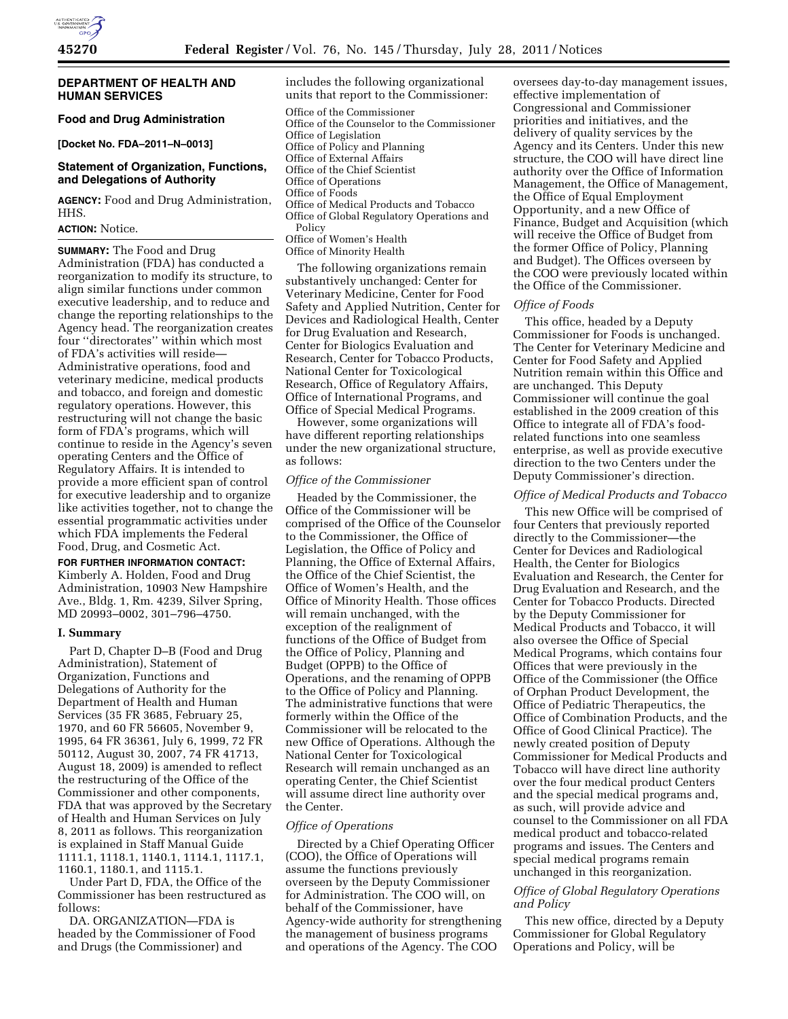# **DEPARTMENT OF HEALTH AND HUMAN SERVICES**

# **Food and Drug Administration**

**[Docket No. FDA–2011–N–0013]** 

# **Statement of Organization, Functions, and Delegations of Authority**

**AGENCY:** Food and Drug Administration, HHS.

# **ACTION:** Notice.

**SUMMARY:** The Food and Drug Administration (FDA) has conducted a reorganization to modify its structure, to align similar functions under common executive leadership, and to reduce and change the reporting relationships to the Agency head. The reorganization creates four ''directorates'' within which most of FDA's activities will reside— Administrative operations, food and veterinary medicine, medical products and tobacco, and foreign and domestic regulatory operations. However, this restructuring will not change the basic form of FDA's programs, which will continue to reside in the Agency's seven operating Centers and the Office of Regulatory Affairs. It is intended to provide a more efficient span of control for executive leadership and to organize like activities together, not to change the essential programmatic activities under which FDA implements the Federal Food, Drug, and Cosmetic Act.

# **FOR FURTHER INFORMATION CONTACT:**

Kimberly A. Holden, Food and Drug Administration, 10903 New Hampshire Ave., Bldg. 1, Rm. 4239, Silver Spring, MD 20993–0002, 301–796–4750.

#### **I. Summary**

Part D, Chapter D–B (Food and Drug Administration), Statement of Organization, Functions and Delegations of Authority for the Department of Health and Human Services (35 FR 3685, February 25, 1970, and 60 FR 56605, November 9, 1995, 64 FR 36361, July 6, 1999, 72 FR 50112, August 30, 2007, 74 FR 41713, August 18, 2009) is amended to reflect the restructuring of the Office of the Commissioner and other components, FDA that was approved by the Secretary of Health and Human Services on July 8, 2011 as follows. This reorganization is explained in Staff Manual Guide 1111.1, 1118.1, 1140.1, 1114.1, 1117.1, 1160.1, 1180.1, and 1115.1.

Under Part D, FDA, the Office of the Commissioner has been restructured as follows:

DA. ORGANIZATION—FDA is headed by the Commissioner of Food and Drugs (the Commissioner) and

includes the following organizational units that report to the Commissioner: Office of the Commissioner Office of the Counselor to the Commissioner Office of Legislation Office of Policy and Planning Office of External Affairs Office of the Chief Scientist Office of Operations Office of Foods Office of Medical Products and Tobacco Office of Global Regulatory Operations and Policy Office of Women's Health Office of Minority Health

The following organizations remain substantively unchanged: Center for Veterinary Medicine, Center for Food Safety and Applied Nutrition, Center for Devices and Radiological Health, Center for Drug Evaluation and Research, Center for Biologics Evaluation and Research, Center for Tobacco Products, National Center for Toxicological Research, Office of Regulatory Affairs, Office of International Programs, and Office of Special Medical Programs.

However, some organizations will have different reporting relationships under the new organizational structure, as follows:

#### *Office of the Commissioner*

Headed by the Commissioner, the Office of the Commissioner will be comprised of the Office of the Counselor to the Commissioner, the Office of Legislation, the Office of Policy and Planning, the Office of External Affairs, the Office of the Chief Scientist, the Office of Women's Health, and the Office of Minority Health. Those offices will remain unchanged, with the exception of the realignment of functions of the Office of Budget from the Office of Policy, Planning and Budget (OPPB) to the Office of Operations, and the renaming of OPPB to the Office of Policy and Planning. The administrative functions that were formerly within the Office of the Commissioner will be relocated to the new Office of Operations. Although the National Center for Toxicological Research will remain unchanged as an operating Center, the Chief Scientist will assume direct line authority over the Center.

# *Office of Operations*

Directed by a Chief Operating Officer (COO), the Office of Operations will assume the functions previously overseen by the Deputy Commissioner for Administration. The COO will, on behalf of the Commissioner, have Agency-wide authority for strengthening the management of business programs and operations of the Agency. The COO

oversees day-to-day management issues, effective implementation of Congressional and Commissioner priorities and initiatives, and the delivery of quality services by the Agency and its Centers. Under this new structure, the COO will have direct line authority over the Office of Information Management, the Office of Management, the Office of Equal Employment Opportunity, and a new Office of Finance, Budget and Acquisition (which will receive the Office of Budget from the former Office of Policy, Planning and Budget). The Offices overseen by the COO were previously located within the Office of the Commissioner.

#### *Office of Foods*

This office, headed by a Deputy Commissioner for Foods is unchanged. The Center for Veterinary Medicine and Center for Food Safety and Applied Nutrition remain within this Office and are unchanged. This Deputy Commissioner will continue the goal established in the 2009 creation of this Office to integrate all of FDA's foodrelated functions into one seamless enterprise, as well as provide executive direction to the two Centers under the Deputy Commissioner's direction.

#### *Office of Medical Products and Tobacco*

This new Office will be comprised of four Centers that previously reported directly to the Commissioner—the Center for Devices and Radiological Health, the Center for Biologics Evaluation and Research, the Center for Drug Evaluation and Research, and the Center for Tobacco Products. Directed by the Deputy Commissioner for Medical Products and Tobacco, it will also oversee the Office of Special Medical Programs, which contains four Offices that were previously in the Office of the Commissioner (the Office of Orphan Product Development, the Office of Pediatric Therapeutics, the Office of Combination Products, and the Office of Good Clinical Practice). The newly created position of Deputy Commissioner for Medical Products and Tobacco will have direct line authority over the four medical product Centers and the special medical programs and, as such, will provide advice and counsel to the Commissioner on all FDA medical product and tobacco-related programs and issues. The Centers and special medical programs remain unchanged in this reorganization.

# *Office of Global Regulatory Operations and Policy*

This new office, directed by a Deputy Commissioner for Global Regulatory Operations and Policy, will be